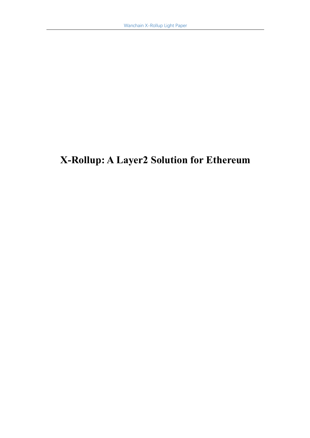# **X-Rollup: A Layer2 Solution for Ethereum**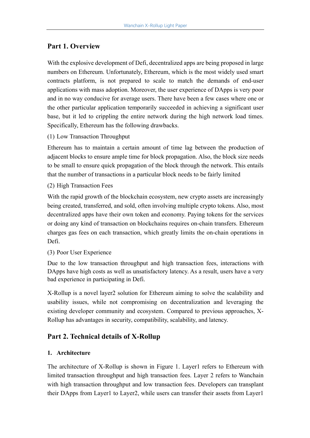# **Part 1. Overview**

With the explosive development of Defi, decentralized apps are being proposed in large numbers on Ethereum. Unfortunately, Ethereum, which is the most widely used smart contracts platform, is not prepared to scale to match the demands of end-user applications with mass adoption. Moreover, the user experience of DApps is very poor and in no way conducive for average users. There have been a few cases where one or the other particular application temporarily succeeded in achieving a significant user base, but it led to crippling the entire network during the high network load times. Specifically, Ethereum has the following drawbacks.

(1) Low Transaction Throughput

Ethereum has to maintain a certain amount of time lag between the production of adjacent blocks to ensure ample time for block propagation. Also, the block size needs to be small to ensure quick propagation of the block through the network. This entails that the number of transactions in a particular block needs to be fairly limited

(2) High Transaction Fees

With the rapid growth of the blockchain ecosystem, new crypto assets are increasingly being created, transferred, and sold, often involving multiple crypto tokens. Also, most decentralized apps have their own token and economy. Paying tokens for the services or doing any kind of transaction on blockchains requires on-chain transfers. Ethereum charges gas fees on each transaction, which greatly limits the on-chain operations in Defi.

(3) Poor User Experience

Due to the low transaction throughput and high transaction fees, interactions with DApps have high costs as well as unsatisfactory latency. As a result, users have a very bad experience in participating in Defi.

X-Rollup is a novel layer2 solution for Ethereum aiming to solve the scalability and usability issues, while not compromising on decentralization and leveraging the existing developer community and ecosystem. Compared to previous approaches, X-Rollup has advantages in security, compatibility, scalability, and latency.

# **Part 2. Technical details of X-Rollup**

#### **1. Architecture**

The architecture of X-Rollup is shown in Figure 1. Layer1 refers to Ethereum with limited transaction throughput and high transaction fees. Layer 2 refers to Wanchain with high transaction throughput and low transaction fees. Developers can transplant their DApps from Layer1 to Layer2, while users can transfer their assets from Layer1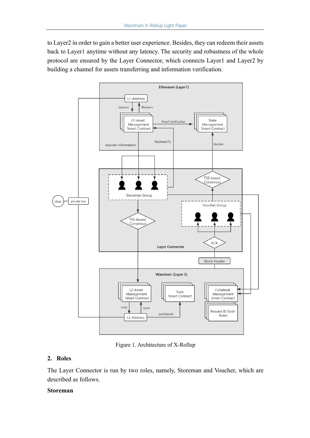to Layer2 in order to gain a better user experience. Besides, they can redeem their assets back to Layer1 anytime without any latency. The security and robustness of the whole protocol are ensured by the Layer Connector, which connects Layer1 and Layer2 by building a channel for assets transferring and information verification.



Figure 1. Architecture of X-Rollup

## **2. Roles**

The Layer Connector is run by two roles, namely, Storeman and Voucher, which are described as follows.

#### **Storeman**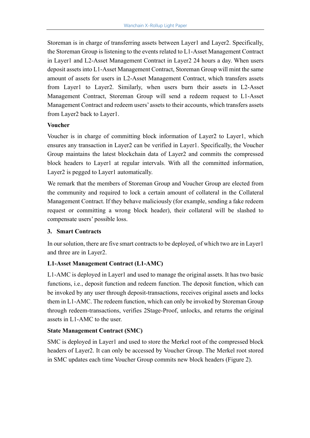Storeman is in charge of transferring assets between Layer1 and Layer2. Specifically, the Storeman Group is listening to the events related to L1-Asset Management Contract in Layer1 and L2-Asset Management Contract in Layer2 24 hours a day. When users deposit assets into L1-Asset Management Contract, Storeman Group will mint the same amount of assets for users in L2-Asset Management Contract, which transfers assets from Layer1 to Layer2. Similarly, when users burn their assets in L2-Asset Management Contract, Storeman Group will send a redeem request to L1-Asset Management Contract and redeem users' assets to their accounts, which transfers assets from Layer2 back to Layer1.

## **Voucher**

Voucher is in charge of committing block information of Layer2 to Layer1, which ensures any transaction in Layer2 can be verified in Layer1. Specifically, the Voucher Group maintains the latest blockchain data of Layer2 and commits the compressed block headers to Layer1 at regular intervals. With all the committed information, Layer2 is pegged to Layer1 automatically.

We remark that the members of Storeman Group and Voucher Group are elected from the community and required to lock a certain amount of collateral in the Collateral Management Contract. If they behave maliciously (for example, sending a fake redeem request or committing a wrong block header), their collateral will be slashed to compensate users' possible loss.

## **3. Smart Contracts**

In our solution, there are five smart contracts to be deployed, of which two are in Layer1 and three are in Layer2.

# **L1-Asset Management Contract (L1-AMC)**

L1-AMC is deployed in Layer1 and used to manage the original assets. It has two basic functions, i.e., deposit function and redeem function. The deposit function, which can be invoked by any user through deposit-transactions, receives original assets and locks them in L1-AMC. The redeem function, which can only be invoked by Storeman Group through redeem-transactions, verifies 2Stage-Proof, unlocks, and returns the original assets in L1-AMC to the user.

## **State Management Contract (SMC)**

SMC is deployed in Layer1 and used to store the Merkel root of the compressed block headers of Layer2. It can only be accessed by Voucher Group. The Merkel root stored in SMC updates each time Voucher Group commits new block headers (Figure 2).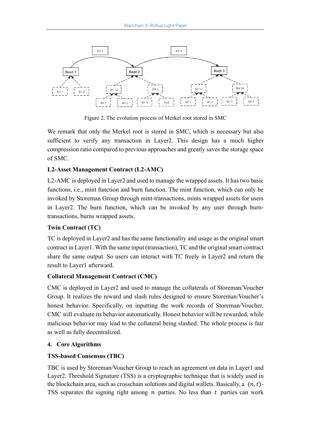

Figure 2. The evolution process of Merkel root stored in SMC

We remark that only the Merkel root is stored in SMC, which is necessary but also sufficient to verify any transaction in Layer2. This design has a much higher compression ratio compared to previous approaches and greatly saves the storage space of SMC.

## **L2-Asset Management Contract (L2-AMC)**

L2-AMC is deployed in Layer2 and used to manage the wrapped assets. It has two basic functions, i.e., mint function and burn function. The mint function, which can only be invoked by Storeman Group through mint-transactions, mints wrapped assets for users in Layer2. The burn function, which can be invoked by any user through burntransactions, burns wrapped assets.

## **Twin Contract (TC)**

TC is deployed in Layer2 and has the same functionality and usage as the original smart contract in Layer1. With the same input (transaction), TC and the original smart contract share the same output. So users can interact with TC freely in Layer2 and return the result to Layer1 afterward.

#### **Collateral Management Contract (CMC)**

CMC is deployed in Layer2 and used to manage the collaterals of Storeman/Voucher Group. It realizes the reward and slash rules designed to ensure Storeman/Voucher's honest behavior. Specifically, on inputting the work records of Storeman/Voucher, CMC will evaluate its behavior automatically. Honest behavior will be rewarded, while malicious behavior may lead to the collateral being slashed. The whole process is fair as well as fully decentralized.

#### **4. Core Algorithms**

## **TSS-based Consensus (TBC)**

TBC is used by Storeman/Voucher Group to reach an agreement on data in Layer1 and Layer2. Threshold Signature (TSS) is a cryptographic technique that is widely used in the blockchain area, such as crosschain solutions and digital wallets. Basically, a  $(n, t)$ -TSS separates the signing right among  $n$  parties. No less than  $t$  parties can work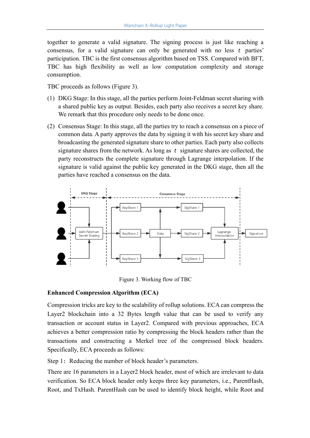together to generate a valid signature. The signing process is just like reaching a consensus, for a valid signature can only be generated with no less  $t$  parties' participation. TBC is the first consensus algorithm based on TSS. Compared with BFT, TBC has high flexibility as well as low computation complexity and storage consumption.

TBC proceeds as follows (Figure 3).

- (1) DKG Stage: In this stage, all the parties perform Joint-Feldman secret sharing with a shared public key as output. Besides, each party also receives a secret key share. We remark that this procedure only needs to be done once.
- (2) Consensus Stage: In this stage, all the parties try to reach a consensus on a piece of common data. A party approves the data by signing it with his secret key share and broadcasting the generated signature share to other parties. Each party also collects signature shares from the network. As long as  $t$  signature shares are collected, the party reconstructs the complete signature through Lagrange interpolation. If the signature is valid against the public key generated in the DKG stage, then all the parties have reached a consensus on the data.



Figure 3. Working flow of TBC

#### **Enhanced Compression Algorithm (ECA)**

Compression tricks are key to the scalability of rollup solutions. ECA can compress the Layer2 blockchain into a 32 Bytes length value that can be used to verify any transaction or account status in Layer2. Compared with previous approaches, ECA achieves a better compression ratio by compressing the block headers rather than the transactions and constructing a Merkel tree of the compressed block headers. Specifically, ECA proceeds as follows:

Step 1: Reducing the number of block header's parameters.

There are 16 parameters in a Layer2 block header, most of which are irrelevant to data verification. So ECA block header only keeps three key parameters, i.e., ParentHash, Root, and TxHash. ParentHash can be used to identify block height, while Root and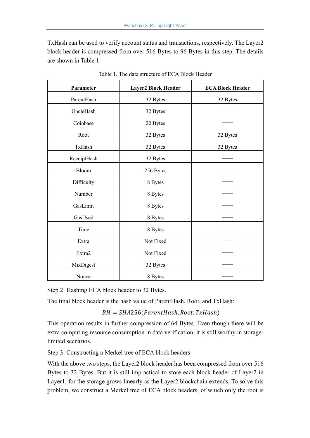TxHash can be used to verify account status and transactions, respectively. The Layer2 block header is compressed from over 516 Bytes to 96 Bytes in this step. The details are shown in Table 1.

| Parameter   | <b>Layer2 Block Header</b> | <b>ECA Block Header</b> |
|-------------|----------------------------|-------------------------|
| ParentHash  | 32 Bytes                   | 32 Bytes                |
| UncleHash   | 32 Bytes                   |                         |
| Coinbase    | 20 Bytes                   |                         |
| Root        | 32 Bytes                   | 32 Bytes                |
| TxHash      | 32 Bytes                   | 32 Bytes                |
| ReceiptHash | 32 Bytes                   |                         |
| Bloom       | 256 Bytes                  |                         |
| Difficulty  | 8 Bytes                    |                         |
| Number      | 8 Bytes                    |                         |
| GasLimit    | 8 Bytes                    |                         |
| GasUsed     | 8 Bytes                    |                         |
| Time        | 8 Bytes                    |                         |
| Extra       | Not Fixed                  |                         |
| Extra2      | Not Fixed                  |                         |
| MixDigest   | 32 Bytes                   |                         |
| Nonce       | 8 Bytes                    |                         |

Table 1. The data structure of ECA Block Header

Step 2: Hashing ECA block header to 32 Bytes.

The final block header is the hash value of ParentHash, Root, and TxHash:

 $BH = SHA256(ParentHash, Root, TxHash)$ 

This operation results in further compression of 64 Bytes. Even though there will be extra computing resource consumption in data verification, it is still worthy in storagelimited scenarios.

Step 3: Constructing a Merkel tree of ECA block headers

With the above two steps, the Layer2 block header has been compressed from over 516 Bytes to 32 Bytes. But it is still impractical to store each block header of Layer2 in Layer1, for the storage grows linearly as the Layer2 blockchain extends. To solve this problem, we construct a Merkel tree of ECA block headers, of which only the root is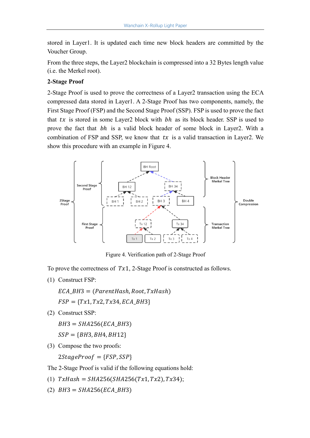stored in Layer1. It is updated each time new block headers are committed by the Voucher Group.

From the three steps, the Layer2 blockchain is compressed into a 32 Bytes length value (i.e. the Merkel root).

## **2-Stage Proof**

2-Stage Proof is used to prove the correctness of a Layer2 transaction using the ECA compressed data stored in Layer1. A 2-Stage Proof has two components, namely, the First Stage Proof (FSP) and the Second Stage Proof (SSP). FSP is used to prove the fact that  $tx$  is stored in some Layer2 block with  $bh$  as its block header. SSP is used to prove the fact that *bh* is a valid block header of some block in Layer2. With a combination of FSP and SSP, we know that  $tx$  is a valid transaction in Layer2. We show this procedure with an example in Figure 4.



Figure 4. Verification path of 2-Stage Proof

To prove the correctness of  $Tx1$ , 2-Stage Proof is constructed as follows.

(1) Construct FSP:

 $ECA\_BH3 = (ParentHash, Root, TxHash)$  $FSP = \{Tx1, Tx2, Tx34, ECA_BH3\}$ 

(2) Construct SSP:

 $BH3 = SHA256(ECA_BH3)$ 

 $SSP = {BH3, BH4, BH12}$ 

(3) Compose the two proofs:

 $2StageProof = {FSP, SSP}$ 

The 2-Stage Proof is valid if the following equations hold:

- (1)  $TxHash = SHA256(SHA256(Tx1, Tx2), Tx34);$
- (2)  $BH3 = SHA256(ECA_BH3)$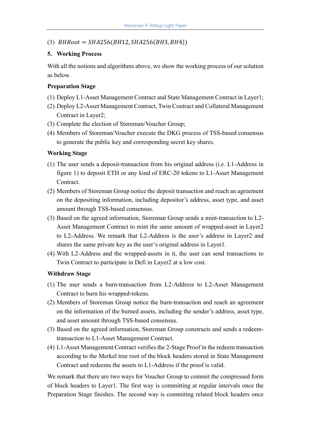#### $(BHRoot = SHA256(BH12, SHA256(BH3, BH4))$

#### **5. Working Process**

With all the notions and algorithms above, we show the working process of our solution as below.

#### **Preparation Stage**

- (1) Deploy L1-Asset Management Contract and State Management Contract in Layer1;
- (2) Deploy L2-Asset Management Contract, Twin Contract and Collateral Management Contract in Layer2;
- (3) Complete the election of Storeman/Voucher Group;
- (4) Members of Storeman/Voucher execute the DKG process of TSS-based consensus to generate the public key and corresponding secret key shares.

#### **Working Stage**

- (1) The user sends a deposit-transaction from his original address (i.e. L1-Address in figure 1) to deposit ETH or any kind of ERC-20 tokens to L1-Asset Management Contract.
- (2) Members of Storeman Group notice the deposit transaction and reach an agreement on the depositing information, including depositor's address, asset type, and asset amount through TSS-based consensus.
- (3) Based on the agreed information, Storeman Group sends a mint-transaction to L2- Asset Management Contract to mint the same amount of wrapped-asset in Layer2 to L2-Address. We remark that L2-Address is the user's address in Layer2 and shares the same private key as the user's original address in Layer1.
- (4) With L2-Address and the wrapped-assets in it, the user can send transactions to Twin Contract to participate in Defi in Layer2 at a low cost.

#### **Withdraw Stage**

- (1) The user sends a burn-transaction from L2-Address to L2-Asset Management Contract to burn his wrapped-tokens.
- (2) Members of Storeman Group notice the burn-transaction and reach an agreement on the information of the burned assets, including the sender's address, asset type, and asset amount through TSS-based consensus.
- (3) Based on the agreed information, Storeman Group constructs and sends a redeemtransaction to L1-Asset Management Contract.
- (4) L1-Asset Management Contract verifies the 2-Stage Proof in the redeem transaction according to the Merkel tree root of the block headers stored in State Management Contract and redeems the assets to L1-Address if the proof is valid.

We remark that there are two ways for Voucher Group to commit the compressed form of block headers to Layer1. The first way is committing at regular intervals once the Preparation Stage finishes. The second way is commiting related block headers once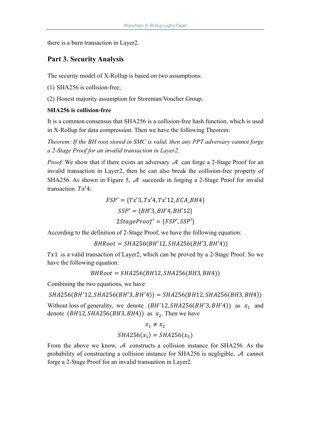there is a burn transaction in Layer2.

## **Part 3. Security Analysis**

The security model of X-Rollup is based on two assumptions:

(1) SHA256 is collision-free;

(2) Honest majority assumption for Storeman/Voucher Group.

#### **SHA256 is collision-free**

It is a common consensus that SHA256 is a collision-free hash function, which is used in X-Rollup for data compression. Then we have the following Theorem:

*Theorem: If the BH root stored in SMC is valid, then any PPT adversary cannot forge a 2-Stage Proof for an invalid transaction in Layer2.*

*Proof*: We show that if there exists an adversary  $\mathcal A$  can forge a 2-Stage Proof for an invalid transaction in Layer2, then he can also break the collision-free property of SHA256. As shown in Figure 5,  $\mathcal A$  succeeds in forging a 2-Stage Proof for invalid transaction  $Tx^{\prime}4$ :

> $FSP' = \{Tx'3, Tx'4, Tx'12, ECA BHA\}$  $SSP' = \{BH'3, BH'4, BH'12\}$  $2StageProof' = \{FSP', SSP'\}$

According to the definition of 2-Stage Proof, we have the following equation:

 $BHRoot = SHA256(BH'12, SHA256(BH'3, BH'4))$ 

 $Tx1$  is a valid transaction of Layer2, which can be proved by a 2-Stage Proof. So we have the following equation:

 $BHRoot = SHA256(BH12, SHA256(BH3, BH4))$ 

Combining the two equations, we have

 $SHA256(BH'12, SHA256(BH'3, BH'4)) = SHA256(BH12, SHA256(BH3, BH4))$ 

Without loss of generality, we denote  $(BH'12, SHA256(BH'3, BH'4))$  as  $x_1$  and denote  $(BH12, SHA256(BH3, BH4))$  as  $x_2$ . Then we have

$$
x_1 \neq x_2
$$
  
SHA256(x<sub>1</sub>) = SHA256(x<sub>2</sub>)

From the above we know,  $A$  constructs a collision instance for SHA256. As the probability of constructing a collision instance for SHA256 is negligible,  $\mathcal A$  cannot forge a 2-Stage Proof for an invalid transaction in Layer2.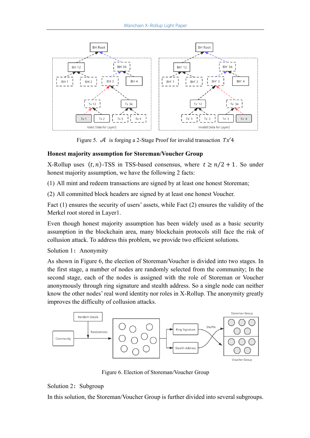

Figure 5.  $\mathcal A$  is forging a 2-Stage Proof for invalid transaction  $Tx'4$ 

## **Honest majority assumption for Storeman/Voucher Group**

X-Rollup uses  $(t, n)$ -TSS in TSS-based consensus, where  $t \ge n/2 + 1$ . So under honest majority assumption, we have the following 2 facts:

(1) All mint and redeem transactions are signed by at least one honest Storeman;

(2) All committed block headers are signed by at least one honest Voucher.

Fact (1) ensures the security of users' assets, while Fact (2) ensures the validity of the Merkel root stored in Layer1.

Even though honest majority assumption has been widely used as a basic security assumption in the blockchain area, many blockchain protocols still face the risk of collusion attack. To address this problem, we provide two efficient solutions.

Solution 1: Anonymity

As shown in Figure 6, the election of Storeman/Voucher is divided into two stages. In the first stage, a number of nodes are randomly selected from the community; In the second stage, each of the nodes is assigned with the role of Storeman or Voucher anonymously through ring signature and stealth address. So a single node can neither know the other nodes' real word identity nor roles in X-Rollup. The anonymity greatly improves the difficulty of collusion attacks.



Figure 6. Election of Storeman/Voucher Group

#### Solution 2: Subgroup

In this solution, the Storeman/Voucher Group is further divided into several subgroups.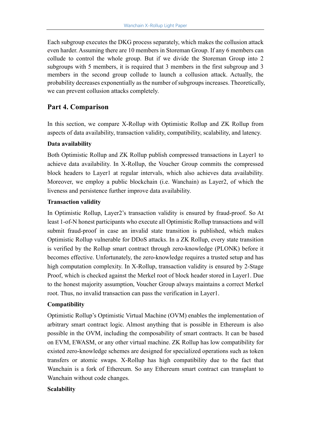Each subgroup executes the DKG process separately, which makes the collusion attack even harder. Assuming there are 10 members in Storeman Group. If any 6 members can collude to control the whole group. But if we divide the Storeman Group into 2 subgroups with 5 members, it is required that 3 members in the first subgroup and 3 members in the second group collude to launch a collusion attack. Actually, the probability decreases exponentially as the number of subgroups increases. Theoretically, we can prevent collusion attacks completely.

# **Part 4. Comparison**

In this section, we compare X-Rollup with Optimistic Rollup and ZK Rollup from aspects of data availability, transaction validity, compatibility, scalability, and latency.

## **Data availability**

Both Optimistic Rollup and ZK Rollup publish compressed transactions in Layer1 to achieve data availability. In X-Rollup, the Voucher Group commits the compressed block headers to Layer1 at regular intervals, which also achieves data availability. Moreover, we employ a public blockchain (i.e. Wanchain) as Layer2, of which the liveness and persistence further improve data availability.

## **Transaction validity**

In Optimistic Rollup, Layer2's transaction validity is ensured by fraud-proof. So At least 1-of-N honest participants who execute all Optimistic Rollup transactions and will submit fraud-proof in case an invalid state transition is published, which makes Optimistic Rollup vulnerable for DDoS attacks. In a ZK Rollup, every state transition is verified by the Rollup smart contract through zero-knowledge (PLONK) before it becomes effective. Unfortunately, the zero-knowledge requires a trusted setup and has high computation complexity. In X-Rollup, transaction validity is ensured by 2-Stage Proof, which is checked against the Merkel root of block header stored in Layer1. Due to the honest majority assumption, Voucher Group always maintains a correct Merkel root. Thus, no invalid transaction can pass the verification in Layer1.

## **Compatibility**

Optimistic Rollup's Optimistic Virtual Machine (OVM) enables the implementation of arbitrary smart contract logic. Almost anything that is possible in Ethereum is also possible in the OVM, including the composability of smart contracts. It can be based on EVM, EWASM, or any other virtual machine. ZK Rollup has low compatibility for existed zero-knowledge schemes are designed for specialized operations such as token transfers or atomic swaps. X-Rollup has high compatibility due to the fact that Wanchain is a fork of Ethereum. So any Ethereum smart contract can transplant to Wanchain without code changes.

#### **Scalability**